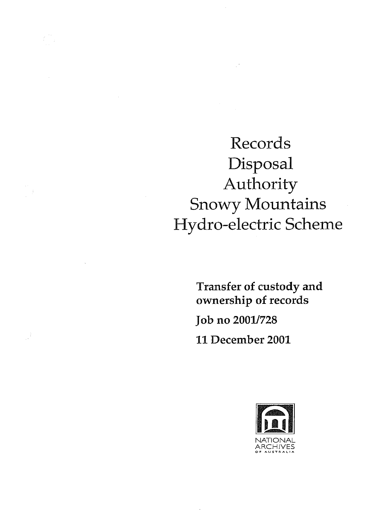Records Disposal Authority Snowy Mountains Hydro-electric Scheme

 $\frac{1}{2}$ 

 $\frac{1}{2}$ 

Transfer of custody and ownership of records Job no *20011728*  11 December 2001

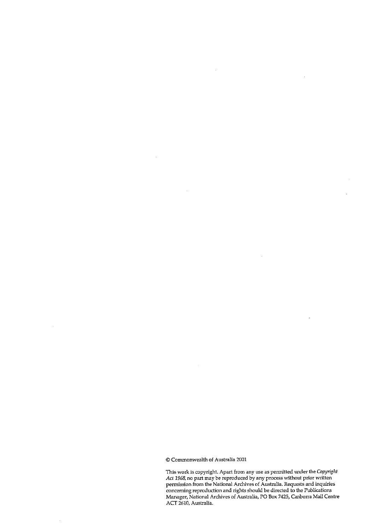© Commonwealth of Australia 2001

 $\bar{z}$ 

This work is copyright. Apart from any use as permitted under the *Copyright Act* 1968,no part may be reproduced by any process without prior written permission from the National Archives of Australia. Requests and inquiries concerning reproduction and rights should be directed to the Publications Manager, National Archives of Australia, PO Box 7425, Canberra Mail Centre ACT 2610, Australia.

 $\ddot{\phantom{0}}$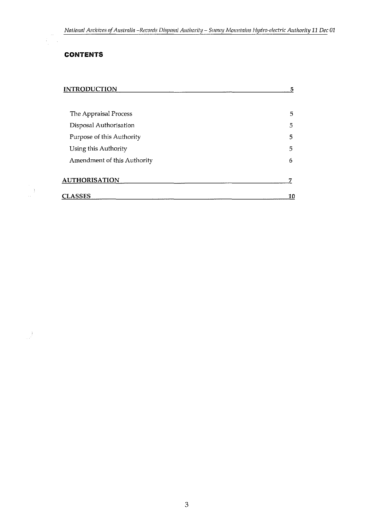## **CONTENTS**

 $\frac{1}{2} \left( \frac{1}{2} \right)$ 

 $\label{eq:2} \frac{1}{\sqrt{2}}\int_0^1\frac{1}{\sqrt{2\pi}}\,d\mu$ 

| <b>INTRODUCTION</b>         | 5  |
|-----------------------------|----|
|                             |    |
| The Appraisal Process       | 5  |
| Disposal Authorisation      | 5  |
| Purpose of this Authority   | 5  |
| Using this Authority        | 5  |
| Amendment of this Authority | 6  |
| <b>AUTHORISATION</b>        |    |
| <b>CLASSES</b>              | 10 |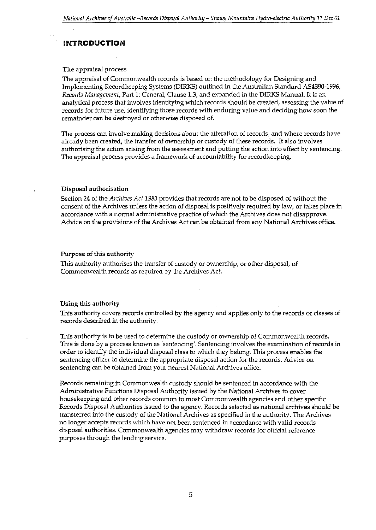## **INTRODUCTION**

#### The appraisal process

The appraisal of Commonwealth records is based on the methodology for Designing and Implementing Recordkeeping Systems (DIRKS) outlined in the Australian Standard AS4390-1996, *Records Ma71agement,* Part 1: General, Clause 1.3, and expanded in the DIRKS Manual. It is an analytical process that involves identifying which records should be created, assessing the value of records for future use, identifying those records with enduring value and deciding how soon the remainder can be destroyed or otherwise disposed of.

The process can involve making decisions about the alteration of records, and where records have already been created, the transfer of ownership or custody of these records. It also involves authorising the action arising from the assessment and putting the action into effect by sentencing. The appraisal process provides a framework of accountability for recordkeeping.

#### Disposal authorisation

Section 24 of the *Archives Act* 1983 provides that records are not to be disposed of without the consent of the Archives unless the action of disposal is positively required by law, or takes place in accordance with a normal administrative practice of which the Archives does not disapprove. Advice on the provisions of the Archives Act can be obtained from any National Archives office.

### Purpose of this authority

This authority authorises the transfer of custody or ownership, or other disposal, of Commonwealth records as required by the Archives Act.

### Using this authority

This authority covers records controlled by the agency and applies only to the records or classes of records described in the authority.

This authority is to be used to determine the custody or ownership of Commonwealth records. This is done by a process known as 'sentencing'. Sentencing involves the examination of records in order to identify the individual disposal class to which they belong. This process enables the sentencing officer to determine the appropriate disposal action for the records. Advice on sentencing can be obtained from your nearest National Archives office.

Records remaining in Commonwealth custody should be sentenced in accordance with the Administrative Functions Disposal Authority issued by the National Archives to cover housekeeping and other records common to most Commonwealth agencies and other specific Records Disposal Authorities issued to the agency. Records selected as national archives should be transferred into the custody of the National Archives as specified in the authority. The Archives no longer accepts records which have not been sentenced in accordance with valid records disposal authorities. Commonwealth agencies may withdraw records for official reference purposes through the lending service.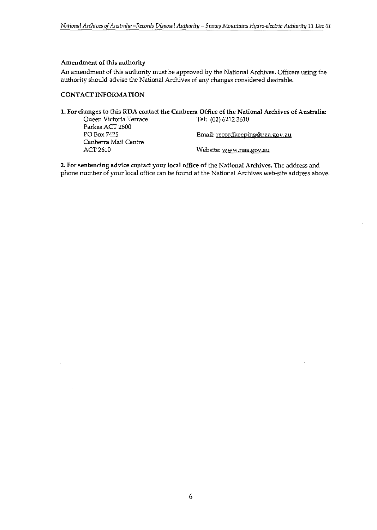#### Amendment of this authority

An amendment of this authority must be approved by the National Archives. Officers using the authority should advise the National Archives of any changes considered desirable.

### CONTACT INFORMATION

1. For changes to this RDA contact the Canberra Office of the National Archives of Australia:<br>Queen Victoria Terrace Tel: (02) 6212 3610

Queen Victoria Terrace Parkes ACT 2600<br>PO Box 7425 Canberra Mail Centre

Email: recordkeeping@naa.gov.au

Website: www.naa.gov.au

2. For sentencing advice contact your local office of the National Archives. The address and phone number of your local office can be found at the National Archives web-site address above.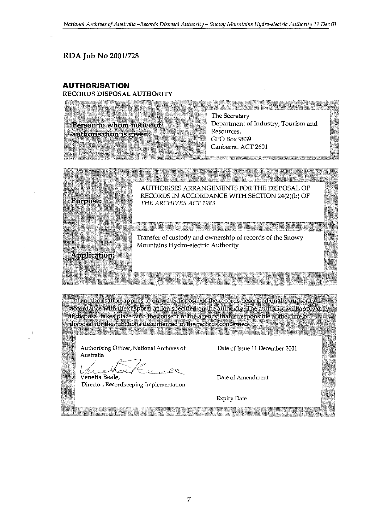## **RDA Job** No 2001/728

## **AUTHORISATION**

RECORDS DISPOSAL AUTHORITY

Person to whom notice of authorisation is given:

The Secretary Department of Industry, Tourism and **Resources.**  GPO Box 9839 Canberra. ACT 2601

an de la componición de la componición de la componición de la componición de la componición de la componició<br>La componición de la componición de la componición de la componición de la componición de la componición de la

| <b>Purpose:</b> | AUTHORISES ARRANGEMENTS FOR THE DISPOSAL OF<br>RECORDS IN ACCORDANCE WITH SECTION 24(2)(b) OF<br>THE ARCHIVES ACT 1983 |  |
|-----------------|------------------------------------------------------------------------------------------------------------------------|--|
| Application:    | Transfer of custody and ownership of records of the Snowy<br>Mountains Hydro-electric Authority                        |  |

This authorisation applies to only the disposal of the records described on the authority in accordance with the disposal action specified on the authority. The authority will apply only if disposal takes place with the consent of the agency that is responsible at the time of disposal for the functions documented in the records concerned.

Authorising Officer, National Archives of Australia

Date of Issue 11 December 2001

Venetia Beale,

Director, Recordkeeping Implementation

Date of Amendment

**Expiry Date**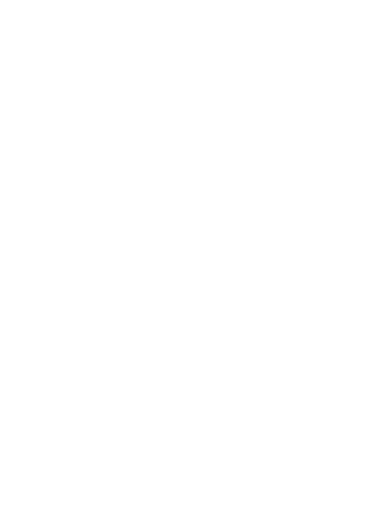$\label{eq:2.1} \frac{1}{\sqrt{2}}\int_{\mathbb{R}^3}\frac{1}{\sqrt{2}}\left(\frac{1}{\sqrt{2}}\right)^2\frac{1}{\sqrt{2}}\left(\frac{1}{\sqrt{2}}\right)^2\frac{1}{\sqrt{2}}\left(\frac{1}{\sqrt{2}}\right)^2\frac{1}{\sqrt{2}}\left(\frac{1}{\sqrt{2}}\right)^2.$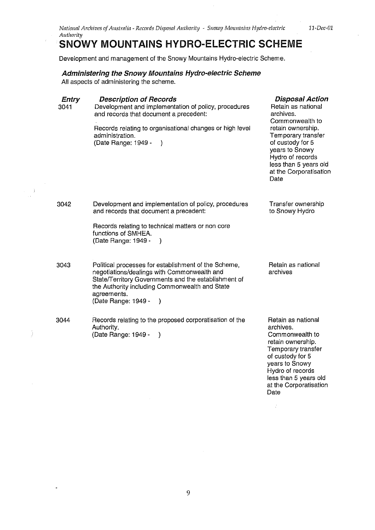*National Archives of Australia - Records Disposal Authority - Snowy Mountains Hydro-electric* 11-Dec-01 *Authority* 

# **SNOWY MOUNTAINS HYDRO-ELECTRIC SCHEME**

Development and management of the Snowy Mountains Hydro-electric Scheme.

## **Administering the Snowy Mountains Hydro-electric Scheme**

All aspects of administering the scheme.

 $\frac{1}{2}$  ,  $\frac{1}{2}$ 

Ĵ

 $\ddot{\phantom{a}}$ 

| Entry<br>3041 | <b>Description of Records</b><br>Development and implementation of policy, procedures<br>and records that document a precedent:<br>Records relating to organisational changes or high level<br>administration.<br>(Date Range: 1949 -<br>$\rightarrow$   | <b>Disposal Action</b><br>Retain as national<br>archives.<br>Commonwealth to<br>retain ownership.<br>Temporary transfer<br>of custody for 5<br>years to Snowy<br>Hydro of records<br>less than 5 years old<br>at the Corporatisation<br>Date |
|---------------|----------------------------------------------------------------------------------------------------------------------------------------------------------------------------------------------------------------------------------------------------------|----------------------------------------------------------------------------------------------------------------------------------------------------------------------------------------------------------------------------------------------|
| 3042          | Development and implementation of policy, procedures<br>and records that document a precedent:<br>Records relating to technical matters or non core<br>functions of SMHEA.<br>(Date Range: 1949 -<br>€                                                   | Transfer ownership<br>to Snowy Hydro                                                                                                                                                                                                         |
| 3043          | Political processes for establishment of the Scheme,<br>negotiations/dealings with Commonwealth and<br>State/Territory Governments and the establishment of<br>the Authority including Commonwealth and State<br>agreements.<br>(Date Range: 1949 -<br>€ | Retain as national<br>archives                                                                                                                                                                                                               |
| 3044          | Records relating to the proposed corporatisation of the<br>Authority.<br>(Date Range: 1949 -<br>$\lambda$                                                                                                                                                | Retain as national<br>archives.<br>Commonwealth to<br>retain ownership.<br>Temporary transfer<br>of custody for 5<br>years to Snowy<br>Hydro of records<br>less than 5 years old<br>at the Corporatisation<br>Date                           |

ż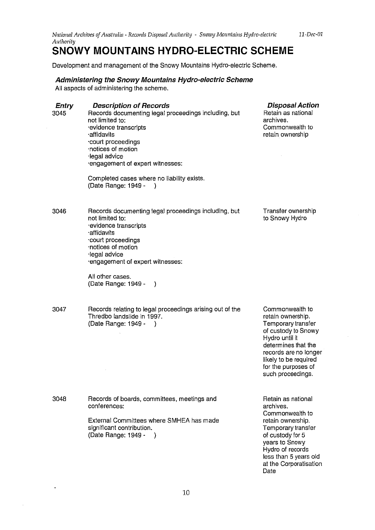### **Administering the Snowy Mountains Hydro-electric Scheme**

All aspects of administering the scheme.

 $\ddot{\phantom{a}}$ 

 $\bar{z}$ 

| <b>Entry</b><br>3045 | <b>Description of Records</b><br>Records documenting legal proceedings including, but<br>not limited to:<br>evidence transcripts<br>·affidavits<br>court proceedings<br>notices of motion<br>legal advice<br>engagement of expert witnesses: | <b>Disposal Action</b><br>Retain as national<br>archives.<br>Commonwealth to<br>retain ownership                                                                                                                         |
|----------------------|----------------------------------------------------------------------------------------------------------------------------------------------------------------------------------------------------------------------------------------------|--------------------------------------------------------------------------------------------------------------------------------------------------------------------------------------------------------------------------|
|                      | Completed cases where no liability exists.<br>(Date Range: 1949 -                                                                                                                                                                            |                                                                                                                                                                                                                          |
| 3046                 | Records documenting legal proceedings including, but<br>not limited to:<br>evidence transcripts<br>·affidavits<br>court proceedings<br>notices of motion<br>legal advice<br>engagement of expert witnesses:                                  | Transfer ownership<br>to Snowy Hydro                                                                                                                                                                                     |
|                      | All other cases.<br>(Date Range: 1949 -<br>$\mathcal{Y}$                                                                                                                                                                                     |                                                                                                                                                                                                                          |
| 3047                 | Records relating to legal proceedings arising out of the<br>Thredbo landslide in 1997.<br>(Date Range: 1949 -                                                                                                                                | Commonwealth to<br>retain ownership.<br>Temporary transfer<br>of custody to Snowy<br>Hydro until it<br>determines that the<br>records are no longer<br>likely to be required<br>for the purposes of<br>such proceedings. |
| 3048                 | Records of boards, committees, meetings and<br>conferences:<br>External Committees where SMHEA has made<br>significant contribution.<br>(Date Range: 1949 -<br>$\rightarrow$                                                                 | Retain as national<br>archives.<br>Commonwealth to<br>retain ownership.<br>Temporary transfer<br>of custody for 5<br>years to Snowy<br>Hydro of records<br>less than 5 years old<br>at the Corporatisation<br>Date       |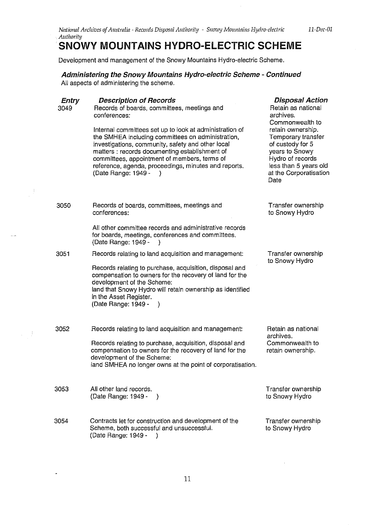$\frac{1}{2}$ 

 $\frac{1}{2}$ 

 $\ddot{\phantom{0}}$ 

### **Administering the Snowy Mountains Hydro-electric Scheme - Continued**  All aspects of administering the scheme.

| Entry<br>3049 | <b>Description of Records</b><br>Records of boards, committees, meetings and<br>conferences:<br>Internal committees set up to look at administration of<br>the SMHEA including committees on administration,<br>investigations, community, safety and other local<br>matters: records documenting establishment of<br>committees, appointment of members, terms of<br>reference, agenda, proceedings, minutes and reports.<br>(Date Range: 1949 - | <b>Disposal Action</b><br>Retain as national<br>archives.<br>Commonwealth to<br>retain ownership.<br>Temporary transfer<br>of custody for 5<br>years to Snowy<br>Hydro of records<br>less than 5 years old<br>at the Corporatisation<br>Date |
|---------------|---------------------------------------------------------------------------------------------------------------------------------------------------------------------------------------------------------------------------------------------------------------------------------------------------------------------------------------------------------------------------------------------------------------------------------------------------|----------------------------------------------------------------------------------------------------------------------------------------------------------------------------------------------------------------------------------------------|
| 3050          | Records of boards, committees, meetings and<br>conferences:                                                                                                                                                                                                                                                                                                                                                                                       | Transfer ownership<br>to Snowy Hydro                                                                                                                                                                                                         |
|               | All other committee records and administrative records<br>for boards, meetings, conferences and committees.<br>(Date Range: 1949 -                                                                                                                                                                                                                                                                                                                |                                                                                                                                                                                                                                              |
| 3051          | Records relating to land acquisition and management:                                                                                                                                                                                                                                                                                                                                                                                              | Transfer ownership<br>to Snowy Hydro                                                                                                                                                                                                         |
|               | Records relating to purchase, acquisition, disposal and<br>compensation to owners for the recovery of land for the<br>development of the Scheme:<br>land that Snowy Hydro will retain ownership as identified<br>in the Asset Register.<br>(Date Range: 1949 -<br>)                                                                                                                                                                               |                                                                                                                                                                                                                                              |
| 3052          | Records relating to land acquisition and management:                                                                                                                                                                                                                                                                                                                                                                                              | Retain as national                                                                                                                                                                                                                           |
|               | Records relating to purchase, acquisition, disposal and<br>compensation to owners for the recovery of land for the<br>development of the Scheme:<br>land SMHEA no longer owns at the point of corporatisation.                                                                                                                                                                                                                                    | archives.<br>Commonwealth to<br>retain ownership.                                                                                                                                                                                            |
| 3053          | All other land records.<br>(Date Range: 1949 -<br>1                                                                                                                                                                                                                                                                                                                                                                                               | Transfer ownership<br>to Snowy Hydro                                                                                                                                                                                                         |
| 3054          | Contracts let for construction and development of the<br>Scheme, both successful and unsuccessful.<br>(Date Range: 1949 -                                                                                                                                                                                                                                                                                                                         | Transfer ownership<br>to Snowy Hydro                                                                                                                                                                                                         |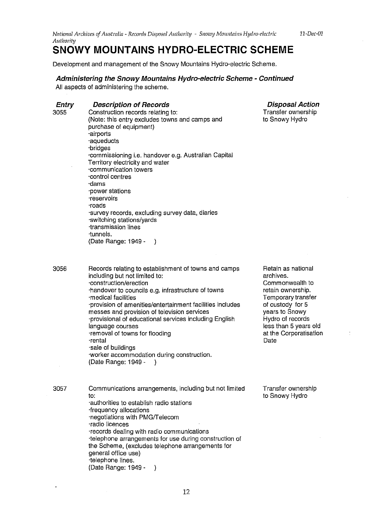### **Administering the Snowy Mountains Hydro-electric Scheme - Continued**  All aspects of administering the scheme.

**Entry Description of Records**  Construction records relating to: (Note: this entry excludes towns and camps and purchase of equipment) 'airports 'aqueducts 'bridges 'commissioning l.e, handover e.g. Australian Capital Territory electricity and water 'communication towers 'control centres 'dams 'power stations 'reservoirs 'roads 'survey records, excluding survey data, diaries 'switching stations/yards ·transmission lines ·tunnels. (Date Range: 1949  $\rightarrow$ 

**Disposal Action**  Transfer ownership to Snowy Hydro

3056

3055

Records relating to establishment of towns and camps including but not limited to: 'construction/erection -handover to councils e.g. infrastructure of towns 'medical facilities -provlslon of amenities/entertainment facilities includes messes and provision of television services 'provisional of educational services including English language courses 'removal of towns for flooding 'rental 'sale of buildings 'worker accommodation during construction. (Date Range: 1949 - )

Retain as national archives. Commonweaith to retain ownership. Temporary transfer of custody for 5 years to Snowy Hydro of records less than 5 years old at the Corporatisatlon Date

Transfer ownership to Snowy Hydro

3057

Communications arrangements, including but not limited to: 'authorities to establish radio stations

'frequency allocations 'negotiations with PMGITelecom

'radio licences

·records dealing with radio communications

·telephone arrangements for use during construction of the Scheme, (excludes telephone arrangements for

general office use)

·telephone lines.

(Date Range: 1949  $\lambda$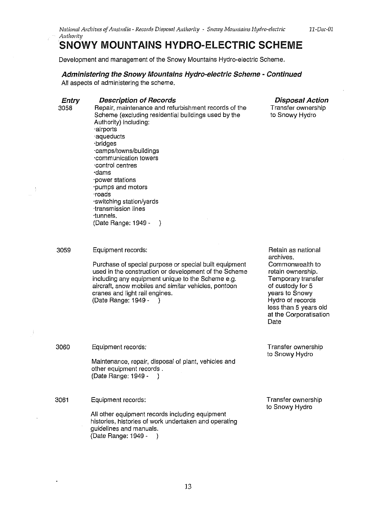Development and management of the Snowy Mountains Hydro-electric Scheme.

#### **Administering the Snowy Mountains Hydro-electric** *scneme-* **Continued**  All aspects of administering the scheme.

**Entry**  3058 3059 3060 3061 **Description of Records**  Repair, maintenance and refurbishment records of the Scheme (excluding residential buiidings used by the Authority) including: -airports 'aqueducts 'bridges -camps/towns/buildings -communication towers 'control centres -darns -power stations 'pumps and motors 'roads -switching station/yards -transrnission lines -tunnels. (Date Range: 1949 Equipment records: Purchase of special purpose or special built equipment used in the construction or development of the Scheme including any equipment unique to the Scheme e.g. aircraft, snow mobiles and simiiar vehicles, pontoon cranes and light raii engines. (Date Range: 1949 - ) Equipment records: Maintenance, repair, disposal of plant, vehicles and other equipment records \_ (Date Range: 1949 - ) Equipment records: All other equipment records including equipment histories, histories of work undertaken and operating guidelines and manuals. (Date Range: 1949 - ) **Disposal Action**  Transfer ownership to Snowy Hydro Retain as national archives. Commonwealth to retain ownership. Temporary transfer of custody for 5 years to Snowy Hydro of records less than 5 years old at the Corporatisation **Date** Transfer ownership to Snowy Hydro Transfer ownership to Snowy Hydro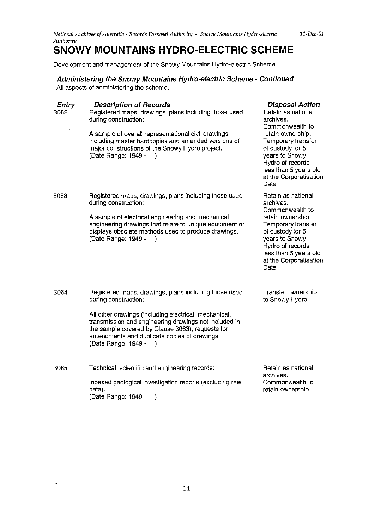Development and management of the Snowy Mountains Hydro-electric Scheme.

### **Administering the Snowy Mountains Hydro-electric Scheme - Continued**  All aspects of administering the scheme.

| Entry<br>3062 | <b>Description of Records</b><br>Registered maps, drawings, plans including those used<br>during construction:<br>A sample of overall representational civil drawings<br>including master hardcopies and amended versions of<br>major constructions of the Snowy Hydro project.<br>(Date Range: 1949 -<br>1                | Disposal Action<br>Retain as national<br>archives.<br>Commonwealth to<br>retain ownership.<br>Temporary transfer<br>of custody for 5<br>years to Snowy<br>Hydro of records<br>less than 5 years old<br>at the Corporatisation<br>Date |
|---------------|----------------------------------------------------------------------------------------------------------------------------------------------------------------------------------------------------------------------------------------------------------------------------------------------------------------------------|---------------------------------------------------------------------------------------------------------------------------------------------------------------------------------------------------------------------------------------|
| 3063          | Registered maps, drawings, plans including those used<br>during construction:<br>A sample of electrical engineering and mechanical<br>engineering drawings that relate to unique equipment or<br>displays obsolete methods used to produce drawings.<br>(Date Range: 1949 -<br>€                                           | Retain as national<br>archives.<br>Commonwealth to<br>retain ownership.<br>Temporary transfer<br>of custody for 5<br>years to Snowy<br>Hydro of records<br>less than 5 years old                                                      |
|               |                                                                                                                                                                                                                                                                                                                            | at the Corporatisation<br>Date                                                                                                                                                                                                        |
| 3064          | Registered maps, drawings, plans including those used<br>during construction:<br>All other drawings (including electrical, mechanical,<br>transmission and engineering drawings not included in<br>the sample covered by Clause 3063), requests for<br>amendments and duplicate copies of drawings.<br>(Date Range: 1949 - | Transfer ownership<br>to Snowy Hydro                                                                                                                                                                                                  |
| 3065          | Technical, scientific and engineering records:<br>Indexed geological investigation reports (excluding raw<br>data).<br>(Date Range: 1949 -<br>)                                                                                                                                                                            | Retain as national<br>archives.<br>Commonwealth to<br>retain ownership                                                                                                                                                                |

 $\tilde{\phantom{a}}$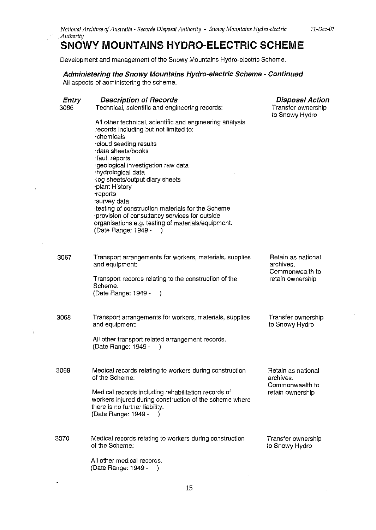Development and management of the Snowy Mountains Hydro-electric Scheme.

 $\frac{1}{2}$ 

Ĵ

L

 $\mathcal{A}$ 

#### **Administering the Snowy Mountains Hydro-electric Scheme - Continued**  All aspects of administering the scheme.

| Entry<br>3066 | <b>Description of Records</b><br>Technical, scientific and engineering records:                                                                                                                                                                                                                                                                                                                                                                                                                                        | Disposal Action<br>Transfer ownership<br>to Snowy Hydro                |
|---------------|------------------------------------------------------------------------------------------------------------------------------------------------------------------------------------------------------------------------------------------------------------------------------------------------------------------------------------------------------------------------------------------------------------------------------------------------------------------------------------------------------------------------|------------------------------------------------------------------------|
|               | All other technical, scientific and engineering analysis<br>records including but not limited to:<br>chemicals <sup>-</sup><br>·cloud seeding results<br>data sheets/books<br>·fault reports<br>geological investigation raw data<br>hydrological data<br>log sheets/output diary sheets<br>plant History<br>·reports<br>survey data<br>testing of construction materials for the Scheme<br>provision of consultancy services for outside<br>organisations e.g. testing of materials/equipment.<br>(Date Range: 1949 - |                                                                        |
| 3067          | Transport arrangements for workers, materials, supplies<br>and equipment:<br>Transport records relating to the construction of the<br>Scheme.<br>(Date Range: 1949 -<br>€                                                                                                                                                                                                                                                                                                                                              | Retain as national<br>archives.<br>Commonwealth to<br>retain ownership |
| 3068          | Transport arrangements for workers, materials, supplies<br>and equipment:<br>All other transport related arrangement records.<br>(Date Range: 1949 -                                                                                                                                                                                                                                                                                                                                                                   | Transfer ownership<br>to Snowy Hydro                                   |
| 3069          | Medical records relating to workers during construction<br>of the Scheme:<br>Medical records including rehabilitation records of<br>workers injured during construction of the scheme where<br>there is no further liability.<br>(Date Range: 1949 -                                                                                                                                                                                                                                                                   | Retain as national<br>archives.<br>Commonwealth to<br>retain ownership |
| 3070          | Medical records relating to workers during construction<br>of the Scheme:<br>All other medical records.<br>(Date Range: 1949 -                                                                                                                                                                                                                                                                                                                                                                                         | Transfer ownership<br>to Snowy Hydro                                   |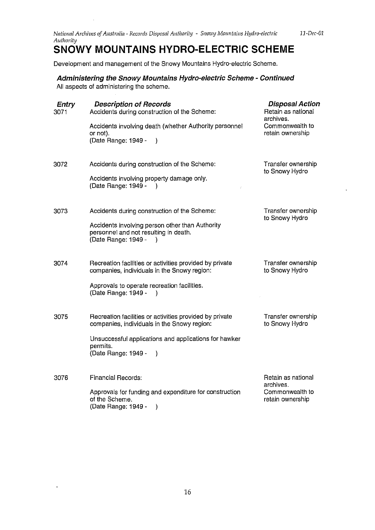Development and management of the Snowy Mountains Hydro-electric Scheme.

### **Administering the Snowy Mountains Hydro-electric Scheme - Continued**  All aspects of administering the scheme.

| Entry<br>3071 | <b>Description of Records</b><br>Accidents during construction of the Scheme:                                         | Disposal Action<br>Retain as national<br>archives. |
|---------------|-----------------------------------------------------------------------------------------------------------------------|----------------------------------------------------|
|               | Accidents involving death (whether Authority personnel<br>or not).<br>(Date Range: 1949 -<br>-1                       | Commonwealth to<br>retain ownership                |
| 3072          | Accidents during construction of the Scheme:                                                                          | Transfer ownership<br>to Snowy Hydro               |
|               | Accidents involving property damage only.<br>(Date Range: 1949 -<br>$\rightarrow$                                     |                                                    |
| 3073          | Accidents during construction of the Scheme:                                                                          | Transfer ownership<br>to Snowy Hydro               |
|               | Accidents involving person other than Authority<br>personnel and not resulting in death.<br>(Date Range: 1949 -<br>J. |                                                    |
| 3074          | Recreation facilities or activities provided by private<br>companies, individuals in the Snowy region:                | Transfer ownership<br>to Snowy Hydro               |
|               | Approvals to operate recreation facilities.<br>(Date Range: 1949 -<br>$\rightarrow$                                   |                                                    |
| 3075          | Recreation facilities or activities provided by private<br>companies, individuals in the Snowy region:                | Transfer ownership<br>to Snowy Hydro               |
|               | Unsuccessful applications and applications for hawker<br>permits.<br>(Date Range: 1949 -<br>-)                        |                                                    |
| 3076          | <b>Financial Records:</b>                                                                                             | Retain as national<br>archives.                    |
|               | Approvals for funding and expenditure for construction<br>of the Scheme.<br>(Date Range: 1949 -<br>)                  | Commonwealth to<br>retain ownership                |

 $\overline{\phantom{a}}$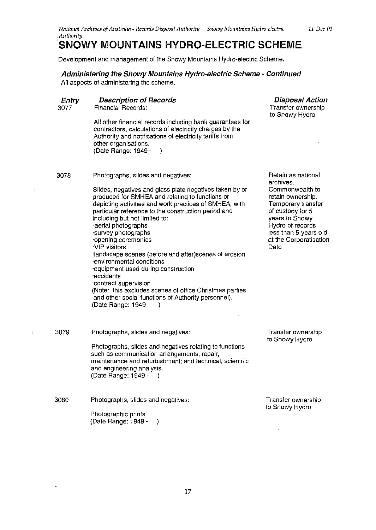**Description of Records** 

**Entry** 

#### **Administering the Snowy Mountains Hydro-electric Scheme - Continued**  All aspects of administering the scheme.

**Disposal Action** 

3077 Financial Records: All other financial records including bank guarantees for contractors, calculations of electricity charges by the Authority and notifications of electricity tariffs from other organisations. (Date Range: 1949 3078 Photographs, slides and negatives: Slides, negatives and glass plate negatives taken by or produced for SMHEA and relating to functions or depicting activities and work practices of SMHEA, with particular reference to the construction period and including but not limited to: 'aerial photographs 'survey photographs 'opening ceremonies ·VIP visitors -landscape scenes (before and after)scenes of erosion 'environmental conditions 'equipment used during construction 'accidents 'contract supervision (Note: this excludes scenes of office Christmas parties and other social functions of Authority personnel). (Date Range: 1949 - ) 3079 Photographs, slides and negatives: Photographs, slides and negatives relating to functions such as communication arrangements; repair, maintenance and refurbishment; and technical, scientific and engineering analysis. (Date Range: 1949 - ) 3080 Photographs, slides and negatives: Photographic prints Transfer ownership to Snowy Hydro Retain as national archives. Commonwealth to retain ownership. Temporary transfer of custody for 5 years to Snowy Hydro of records less than 5 years old at the Corporatisation Date Transfer ownership to Snowy Hydro Transfer ownership to Snowy Hydro

(Date Range: 1949

 $\lambda$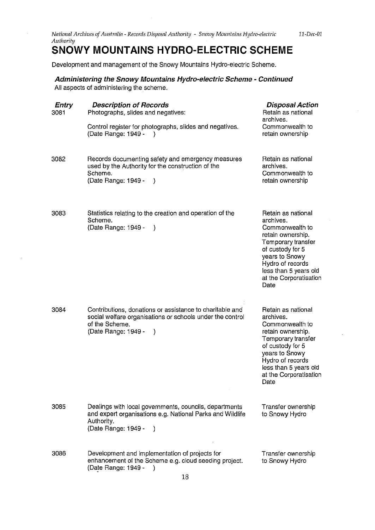Development and management of the Snowy Mountains Hydro-electric Scheme.

### **Administering the Snowy Mountains Hydro-electric Scheme - Continued**  All aspects of administering the scheme.

| Entry<br>3081 | <b>Description of Records</b><br>Photographs, slides and negatives:<br>Control register for photographs, slides and negatives.<br>(Date Range: 1949 -<br>J.                     | <b>Disposal Action</b><br>Retain as national<br>archives.<br>Commonwealth to<br>retain ownership                                                                                                                   |
|---------------|---------------------------------------------------------------------------------------------------------------------------------------------------------------------------------|--------------------------------------------------------------------------------------------------------------------------------------------------------------------------------------------------------------------|
| 3082          | Records documenting safety and emergency measures<br>used by the Authority for the construction of the<br>Scheme.<br>(Date Range: 1949 -<br>- )                                 | Retain as national<br>archives.<br>Commonwealth to<br>retain ownership                                                                                                                                             |
| 3083          | Statistics relating to the creation and operation of the<br>Scheme.<br>(Date Range: 1949 -<br>$\rightarrow$                                                                     | Retain as national<br>archives.<br>Commonwealth to<br>retain ownership.<br>Temporary transfer<br>of custody for 5<br>years to Snowy<br>Hydro of records<br>less than 5 years old<br>at the Corporatisation<br>Date |
| 3084          | Contributions, donations or assistance to charitable and<br>social welfare organisations or schools under the control<br>of the Scheme.<br>(Date Range: 1949 -<br>$\rightarrow$ | Retain as national<br>archives.<br>Commonwealth to<br>retain ownership.<br>Temporary transfer<br>of custody for 5<br>years to Snowy<br>Hydro of records<br>less than 5 years old<br>at the Corporatisation<br>Date |
| 3085          | Dealings with local governments, councils, departments<br>and expert organisations e.g. National Parks and Wildlife<br>Authority.<br>(Date Range: 1949 -                        | Transfer ownership<br>to Snowy Hydro                                                                                                                                                                               |
| 3086          | Development and implementation of projects for<br>enhancement of the Scheme e.g. cloud seeding project.<br>(Date Range: 1949 -<br>18                                            | Transfer ownership<br>to Snowy Hydro                                                                                                                                                                               |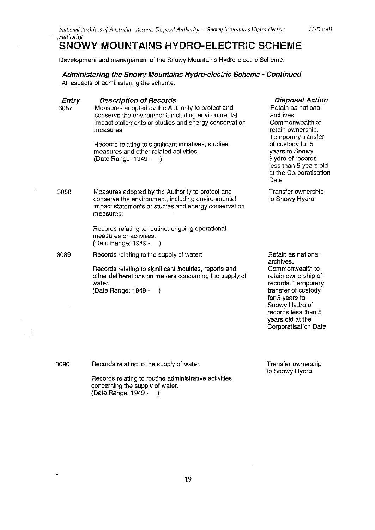Development and management of the Snowy Mountains Hydro-electric Scheme.

### **Administering the Snowy Mountains Hydro-electric Scheme - Continued**  All aspects of administering the scheme.

| <b>Entry</b><br>3087 | <b>Description of Records</b><br>Measures adopted by the Authority to protect and<br>conserve the environment, including environmental<br>impact statements or studies and energy conservation<br>measures:<br>Records relating to significant initiatives, studies,<br>measures and other related activities.<br>(Date Range: 1949 - | <b>Disposal Action</b><br>Retain as national<br>archives.<br>Commonwealth to<br>retain ownership.<br>Temporary transfer<br>of custody for 5<br>years to Snowy<br>Hydro of records<br>less than 5 years old<br>at the Corporatisation<br>Date |
|----------------------|---------------------------------------------------------------------------------------------------------------------------------------------------------------------------------------------------------------------------------------------------------------------------------------------------------------------------------------|----------------------------------------------------------------------------------------------------------------------------------------------------------------------------------------------------------------------------------------------|
| 3088                 | Measures adopted by the Authority to protect and<br>conserve the environment, including environmental<br>impact statements or studies and energy conservation<br>measures:                                                                                                                                                            | Transfer ownership<br>to Snowy Hydro                                                                                                                                                                                                         |
|                      | Records relating to routine, ongoing operational<br>measures or activities.<br>(Date Range: 1949 -<br>$\rightarrow$                                                                                                                                                                                                                   |                                                                                                                                                                                                                                              |
| 3089                 | Records relating to the supply of water:<br>Records relating to significant inquiries, reports and<br>other deliberations on matters concerning the supply of<br>water.<br>(Date Range: 1949 -<br>-1                                                                                                                                  | Retain as national<br>archives.<br>Commonwealth to<br>retain ownership of<br>records. Temporary<br>transfer of custody<br>for 5 years to<br>Snowy Hydro of<br>records less than 5<br>years old at the<br><b>Corporatisation Date</b>         |

3090

 $\ddot{\phantom{a}}$ 

Ĵ

 $\mathbb{R}^3$ 

Records relating to the supply of water:

Records relating to routine administrative activities concerning the supply of water. (Date Range: 1949 - )

Transfer ownership to Snowy Hydro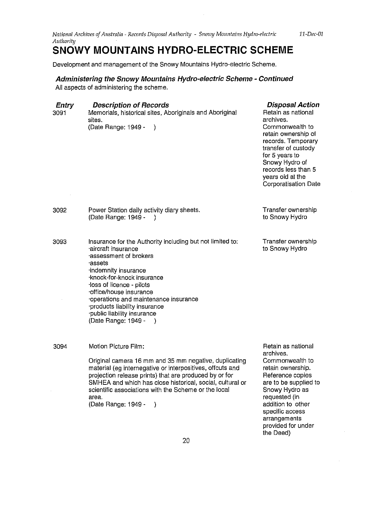Development and management of the Snowy Mountains Hydro-electric Scheme.

**Administering the Snowy Mountains Hydro-electric Scheme - Continued**  All aspects of administering the scheme.

| Entry<br>3091 | <b>Description of Records</b><br>Memorials, historical sites, Aboriginals and Aboriginal<br>sites.<br>(Date Range: 1949 -<br>$\rightarrow$                                                                                                                                                                                                                                 | <b>Disposal Action</b><br>Retain as national<br>archives.<br>Commonwealth to<br>retain ownership of<br>records. Temporary<br>transfer of custody<br>for 5 years to<br>Snowy Hydro of<br>records less than 5<br>years old at the<br>Corporatisation Date |
|---------------|----------------------------------------------------------------------------------------------------------------------------------------------------------------------------------------------------------------------------------------------------------------------------------------------------------------------------------------------------------------------------|---------------------------------------------------------------------------------------------------------------------------------------------------------------------------------------------------------------------------------------------------------|
| 3092          | Power Station daily activity diary sheets.<br>(Date Range: 1949 -<br>J                                                                                                                                                                                                                                                                                                     | Transfer ownership<br>to Snowy Hydro                                                                                                                                                                                                                    |
| 3093          | Insurance for the Authority including but not limited to:<br>aircraft insurance<br>assessment of brokers<br>·assets<br>indemnity insurance<br>·knock-for-knock insurance<br>loss of licence - pilots<br>office/house insurance<br>operations and maintenance insurance<br>products liability insurance<br>public liability insurance<br>(Date Range: 1949 -                | Transfer ownership<br>to Snowy Hydro                                                                                                                                                                                                                    |
| 3094          | Motion Picture Film:<br>Original camera 16 mm and 35 mm negative, duplicating<br>material (eg internegative or interpositives, offcuts and<br>projection release prints) that are produced by or for<br>SMHEA and which has close historical, social, cultural or<br>scientific associations with the Scheme or the local<br>area.<br>(Date Range: 1949 -<br>$\rightarrow$ | Retain as national<br>archives.<br>Commonwealth to<br>retain ownership.<br>Reference copies<br>are to be supplied to<br>Snowy Hydro as<br>requested (in<br>addition to other<br>specific access<br>arrangements<br>provided for under                   |

20

the Deed)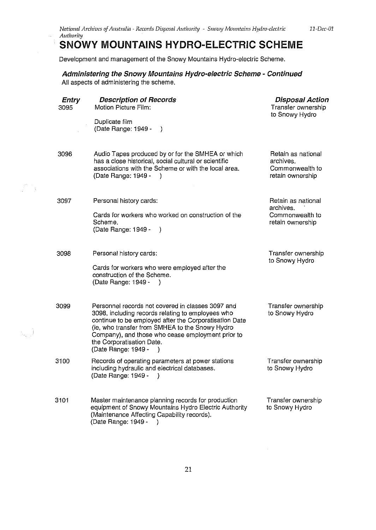$\frac{1}{3}$ 

 $f^{-1}$ 

 $\mathbf{v}_{\text{max}}\}$ 

Development and management ot the Snowy Mountains Hydro-electric Scheme.

### **Administering the Snowy Mountains Hydro-electric Scheme - Continued**  All aspects ot administering the scheme.

| <b>Entry</b><br>3095 | <b>Description of Records</b><br>Motion Picture Film:<br>Duplicate film<br>(Date Range: 1949 -<br>$\rightarrow$                                                                                                                                                                                                              | <b>Disposal Action</b><br>Transfer ownership<br>to Snowy Hydro         |
|----------------------|------------------------------------------------------------------------------------------------------------------------------------------------------------------------------------------------------------------------------------------------------------------------------------------------------------------------------|------------------------------------------------------------------------|
| 3096                 | Audio Tapes produced by or for the SMHEA or which<br>has a close historical, social cultural or scientific<br>associations with the Scheme or with the local area.<br>(Date Range: 1949 -<br>- 1                                                                                                                             | Retain as national<br>archives.<br>Commonwealth to<br>retain ownership |
| 3097                 | Personal history cards:<br>Cards for workers who worked on construction of the<br>Scheme.<br>(Date Range: 1949 -<br>- 1                                                                                                                                                                                                      | Retain as national<br>archives.<br>Commonwealth to<br>retain ownership |
| 3098                 | Personal history cards:<br>Cards for workers who were employed after the<br>construction of the Scheme.<br>(Date Range: 1949 - )                                                                                                                                                                                             | Transfer ownership<br>to Snowy Hydro                                   |
| 3099                 | Personnel records not covered in classes 3097 and<br>3098, including records relating to employees who<br>continue to be employed after the Corporatisation Date<br>(ie, who transfer from SMHEA to the Snowy Hydro<br>Company), and those who cease employment prior to<br>the Corporatisation Date.<br>(Date Range: 1949 - | Transfer ownership<br>to Snowy Hydro                                   |
| 3100                 | Records of operating parameters at power stations<br>including hydraulic and electrical databases.<br>(Date Range: 1949 - )                                                                                                                                                                                                  | Transfer ownership<br>to Snowy Hydro                                   |
| 3101                 | Master maintenance planning records for production<br>equipment of Snowy Mountains Hydro Electric Authority<br>(Maintenance Affecting Capability records).<br>(Date Range: 1949 -<br>1                                                                                                                                       | Transfer ownership<br>to Snowy Hydro                                   |

 $\hat{\mathcal{A}}$